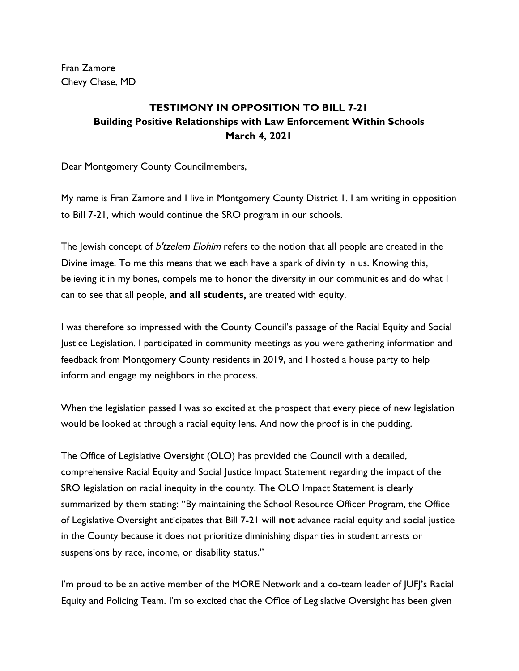Fran Zamore Chevy Chase, MD

## **TESTIMONY IN OPPOSITION TO BILL 7-21 Building Positive Relationships with Law Enforcement Within Schools March 4, 2021**

Dear Montgomery County Councilmembers,

My name is Fran Zamore and I live in Montgomery County District 1. I am writing in opposition to Bill 7-21, which would continue the SRO program in our schools.

The Jewish concept of b'tzelem Elohim refers to the notion that all people are created in the Divine image. To me this means that we each have a spark of divinity in us. Knowing this, believing it in my bones, compels me to honor the diversity in our communities and do what I can to see that all people, **and all students,** are treated with equity.

I was therefore so impressed with the County Council's passage of the Racial Equity and Social Justice Legislation. I participated in community meetings as you were gathering information and feedback from Montgomery County residents in 2019, and I hosted a house party to help inform and engage my neighbors in the process.

When the legislation passed I was so excited at the prospect that every piece of new legislation would be looked at through a racial equity lens. And now the proof is in the pudding.

The Office of Legislative Oversight (OLO) has provided the Council with a detailed, comprehensive Racial Equity and Social Justice Impact Statement regarding the impact of the SRO legislation on racial inequity in the county. The OLO Impact Statement is clearly summarized by them stating: "By maintaining the School Resource Officer Program, the Office of Legislative Oversight anticipates that Bill 7-21 will **not** advance racial equity and social justice in the County because it does not prioritize diminishing disparities in student arrests or suspensions by race, income, or disability status."

I'm proud to be an active member of the MORE Network and a co-team leader of JUFJ's Racial Equity and Policing Team. I'm so excited that the Office of Legislative Oversight has been given